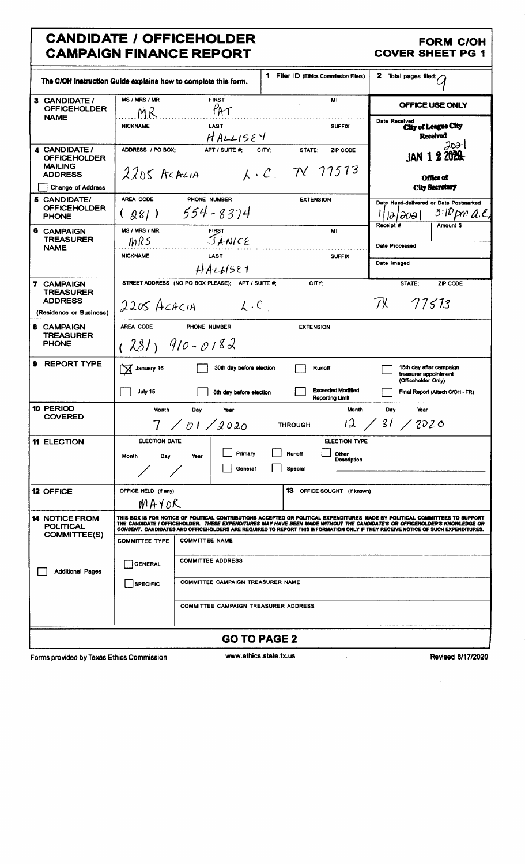# CANDIDATE / OFFICEHOLDER<br>
CAMPAIGN FINANCE REPORT COVER SHEET PG 1 **CAMPAIGN FINANCE REPORT**

|                                                                             | The C/OH instruction Guide explains how to complete this form.                                                                                                                                                                                                                                                                                                                                | 1 Filer ID (Ethics Commission Filers)                      | 2<br>Total pages filed: $\hat{G}$                                       |
|-----------------------------------------------------------------------------|-----------------------------------------------------------------------------------------------------------------------------------------------------------------------------------------------------------------------------------------------------------------------------------------------------------------------------------------------------------------------------------------------|------------------------------------------------------------|-------------------------------------------------------------------------|
| 3 CANDIDATE /<br><b>OFFICEHOLDER</b>                                        | <b>MS / MRS / MR</b><br><b>FIRST</b><br>PAT<br>MR                                                                                                                                                                                                                                                                                                                                             | МI                                                         | OFFICE USE ONLY                                                         |
| <b>NAME</b>                                                                 | <b>LAST</b><br><b>NICKNAME</b><br>HALLISEY                                                                                                                                                                                                                                                                                                                                                    | <b>SUFFIX</b>                                              | Date Received<br>City of League City<br><b>Received</b>                 |
| 4 CANDIDATE /<br><b>OFFICEHOLDER</b><br><b>MAILING</b><br><b>ADDRESS</b>    | ADDRESS / PO BOX:<br>APT / SUITE #:<br>$2205$ ACACIA                                                                                                                                                                                                                                                                                                                                          | CITY:<br>STATE;<br><b>ZIP CODE</b><br>$k \cdot C$ TV 77513 | ⊿ଧା<br>JAN 1 2 2020<br><b>Office of</b>                                 |
| <b>Change of Address</b>                                                    |                                                                                                                                                                                                                                                                                                                                                                                               |                                                            | <b>City Secretary</b>                                                   |
| 5 CANDIDATE/<br><b>OFFICEHOLDER</b><br><b>PHONE</b>                         | AREA CODE<br>PHONE NUMBER<br>554-8374<br>(28)                                                                                                                                                                                                                                                                                                                                                 | <b>EXTENSION</b>                                           | Date Hand-delivered or Date Postmarked<br>$3$ ID pm a.e.<br>1212021     |
| 6 CAMPAIGN<br><b>TREASURER</b><br><b>NAME</b>                               | MS / MRS / MR<br><b>FIRST</b><br>JANCE<br>MRS                                                                                                                                                                                                                                                                                                                                                 | MI                                                         | Receipt <sup>#</sup><br>Amount \$<br>Date Processed                     |
|                                                                             | <b>NICKNAME</b><br><b>LAST</b><br>HALHSE1                                                                                                                                                                                                                                                                                                                                                     | <b>SUFFIX</b>                                              | Date Imaged                                                             |
| 7 CAMPAIGN<br><b>TREASURER</b><br><b>ADDRESS</b><br>(Residence or Business) | STREET ADDRESS (NO PO BOX PLEASE); APT / SUITE #:<br>$2205$ ACACIA<br>$\lambda$ . C $\sim$                                                                                                                                                                                                                                                                                                    | CITY:                                                      | STATE:<br>ZIP CODE<br>TX 77513                                          |
| 8 CAMPAIGN<br><b>TREASURER</b><br><b>PHONE</b>                              | AREA CODE<br>PHONE NUMBER<br>$(281)$ 910-0182                                                                                                                                                                                                                                                                                                                                                 | <b>EXTENSION</b>                                           |                                                                         |
| 9<br><b>REPORT TYPE</b>                                                     | $\sqrt{ }$ January 15<br>30th day before election                                                                                                                                                                                                                                                                                                                                             | Runoff                                                     | 15th day after campaign<br>treasurer appointment<br>(Officeholder Only) |
|                                                                             | July 15<br>8th day before election                                                                                                                                                                                                                                                                                                                                                            | <b>Exceeded Modified</b><br>Reporting Limit                | Final Report (Attach C/OH - FR)                                         |
| 10 PERIOD<br><b>COVERED</b>                                                 | Month<br>Day<br>Year<br>7 / 01 / 2020                                                                                                                                                                                                                                                                                                                                                         | Month<br><b>THROUGH</b>                                    | Day<br>Year<br>12 / 31 / 2020                                           |
| <b>11 ELECTION</b>                                                          | <b>ELECTION DATE</b>                                                                                                                                                                                                                                                                                                                                                                          | <b>ELECTION TYPE</b>                                       |                                                                         |
|                                                                             | Primary<br>Month<br>Day<br>Year<br>General                                                                                                                                                                                                                                                                                                                                                    | Runoff<br>Other<br>Description<br>Special                  |                                                                         |
| 12 OFFICE                                                                   | OFFICE HELD (If any)<br>MAYOR                                                                                                                                                                                                                                                                                                                                                                 | 13 OFFICE SOUGHT (If known)                                |                                                                         |
| <b>14 NOTICE FROM</b><br><b>POLITICAL</b>                                   | THIS BOX IS FOR NOTICE OF POLITICAL CONTRIBUTIONS ACCEPTED OR POLITICAL EXPENDITURES MADE BY POLITICAL COMMITTEES TO SUPPORT<br>THE CANDIDATE / OFFICEHOLDER. THESE EXPENDITURES MAY HAVE BEEN MADE WITHOUT THE CANDIDATE'S OR OFFICEHOLDER'S KNOWLEDGE OR<br>CONSENT. CANDIDATES AND OFFICEHOLDERS ARE REQUIRED TO REPORT THIS INFORMATION ONLY IF THEY RECEIVE NOTICE OF SUCH EXPENDITURES. |                                                            |                                                                         |
| <b>COMMITTEE(S)</b>                                                         | <b>COMMITTEE NAME</b><br><b>COMMITTEE TYPE</b>                                                                                                                                                                                                                                                                                                                                                |                                                            |                                                                         |
| <b>Additional Pages</b>                                                     | <b>COMMITTEE ADDRESS</b><br><b>GENERAL</b>                                                                                                                                                                                                                                                                                                                                                    |                                                            |                                                                         |
|                                                                             | <b>COMMITTEE CAMPAIGN TREASURER NAME</b><br><b>SPECIFIC</b>                                                                                                                                                                                                                                                                                                                                   |                                                            |                                                                         |
|                                                                             | <b>COMMITTEE CAMPAIGN TREASURER ADDRESS</b>                                                                                                                                                                                                                                                                                                                                                   |                                                            |                                                                         |
|                                                                             |                                                                                                                                                                                                                                                                                                                                                                                               | <b>GO TO PAGE 2</b>                                        |                                                                         |
| Forms provided by Texas Ethics Commission                                   |                                                                                                                                                                                                                                                                                                                                                                                               | www.ethics.state.tx.us                                     | <b>Revised 8/17/2020</b>                                                |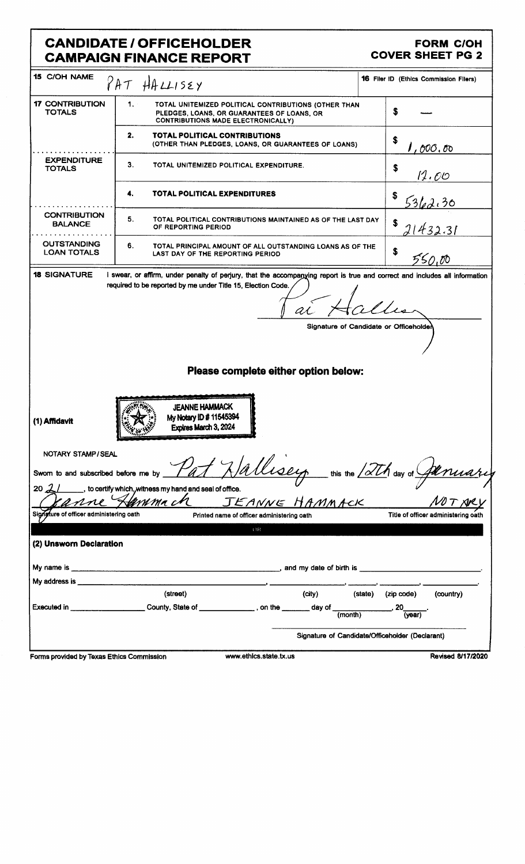# **CANDIDATE / OFFICEHOLDER CAMPAIGN FINANCE REPORT**

### **FORM C/OH COVER SHEET PG 2**

| <b>15 C/OH NAME</b>                                                                                             | PAT HALLISEY                                                                                                                                                                                | <b>16 Filer ID (Ethics Commission Filers)</b>                                  |
|-----------------------------------------------------------------------------------------------------------------|---------------------------------------------------------------------------------------------------------------------------------------------------------------------------------------------|--------------------------------------------------------------------------------|
| <b>17 CONTRIBUTION</b><br><b>TOTALS</b>                                                                         | 1.<br>TOTAL UNITEMIZED POLITICAL CONTRIBUTIONS (OTHER THAN<br>PLEDGES, LOANS, OR GUARANTEES OF LOANS, OR<br><b>CONTRIBUTIONS MADE ELECTRONICALLY)</b>                                       | \$                                                                             |
|                                                                                                                 | 2.<br>TOTAL POLITICAL CONTRIBUTIONS<br>(OTHER THAN PLEDGES, LOANS, OR GUARANTEES OF LOANS)                                                                                                  | \$<br>$I$ , 000 . To                                                           |
| <b>EXPENDITURE</b><br><b>TOTALS</b>                                                                             | З.<br>TOTAL UNITEMIZED POLITICAL EXPENDITURE.                                                                                                                                               | \$<br>12.O <u>O</u>                                                            |
|                                                                                                                 | TOTAL POLITICAL EXPENDITURES<br>4.                                                                                                                                                          | \$<br><u>5362,30</u>                                                           |
| <b>CONTRIBUTION</b><br><b>BALANCE</b>                                                                           | 5.<br>TOTAL POLITICAL CONTRIBUTIONS MAINTAINED AS OF THE LAST DAY<br>OF REPORTING PERIOD                                                                                                    | \$<br>1432.31                                                                  |
| <b>OUTSTANDING</b><br><b>LOAN TOTALS</b>                                                                        | 6.<br>TOTAL PRINCIPAL AMOUNT OF ALL OUTSTANDING LOANS AS OF THE<br>LAST DAY OF THE REPORTING PERIOD                                                                                         | \$<br>550.00                                                                   |
| <b>18 SIGNATURE</b>                                                                                             | I swear, or affirm, under penalty of perjury, that the accompanying report is true and correct and includes all information<br>required to be reported by me under Title 15, Election Code. |                                                                                |
|                                                                                                                 |                                                                                                                                                                                             |                                                                                |
|                                                                                                                 |                                                                                                                                                                                             | Signature of Candidate or Officeholder                                         |
|                                                                                                                 |                                                                                                                                                                                             |                                                                                |
|                                                                                                                 |                                                                                                                                                                                             |                                                                                |
|                                                                                                                 |                                                                                                                                                                                             |                                                                                |
|                                                                                                                 | Please complete either option below:                                                                                                                                                        |                                                                                |
|                                                                                                                 |                                                                                                                                                                                             |                                                                                |
| (1) Affidavit                                                                                                   | <b>JEANNE HAMMACK</b><br>My Notary ID # 11545394<br>Expires March 3, 2024                                                                                                                   |                                                                                |
| NOTARY STAMP/SEAL                                                                                               |                                                                                                                                                                                             |                                                                                |
| Swom to and subscribed before me by                                                                             |                                                                                                                                                                                             | this the $\sqrt{\mathscr{X}\mathcal{L}}$ day of $\mathscr{L}$<br><u> Unuar</u> |
| $20 \cancel{21}$                                                                                                | ___, to certify which, witness my hand and seal of office.                                                                                                                                  |                                                                                |
|                                                                                                                 | amma cM<br>JEANNE HAMMACK                                                                                                                                                                   |                                                                                |
| Signature of officer administering oath                                                                         | Printed name of officer administering oath                                                                                                                                                  | Title of officer administering oath                                            |
|                                                                                                                 | 0R                                                                                                                                                                                          |                                                                                |
| (2) Unsworn Declaration                                                                                         |                                                                                                                                                                                             |                                                                                |
|                                                                                                                 |                                                                                                                                                                                             |                                                                                |
|                                                                                                                 |                                                                                                                                                                                             |                                                                                |
|                                                                                                                 | (street)<br>(city)                                                                                                                                                                          | (country)<br>(state) (zip code)                                                |
| Executed in the contract of the contract of the contract of the contract of the contract of the contract of the | County, State of ______________, on the ________ day of (month)                                                                                                                             |                                                                                |
|                                                                                                                 |                                                                                                                                                                                             | $\overline{(\text{year})}$                                                     |
|                                                                                                                 |                                                                                                                                                                                             | Signature of Candidate/Officeholder (Declarant)                                |
|                                                                                                                 |                                                                                                                                                                                             |                                                                                |
| ormo provided by Toyos Ethiop Commission.                                                                       | usus athice etata ty ue                                                                                                                                                                     | Porison 8/17/2020                                                              |

Forms provided by Texas Ethics Commission

www.ethics.state.tx.us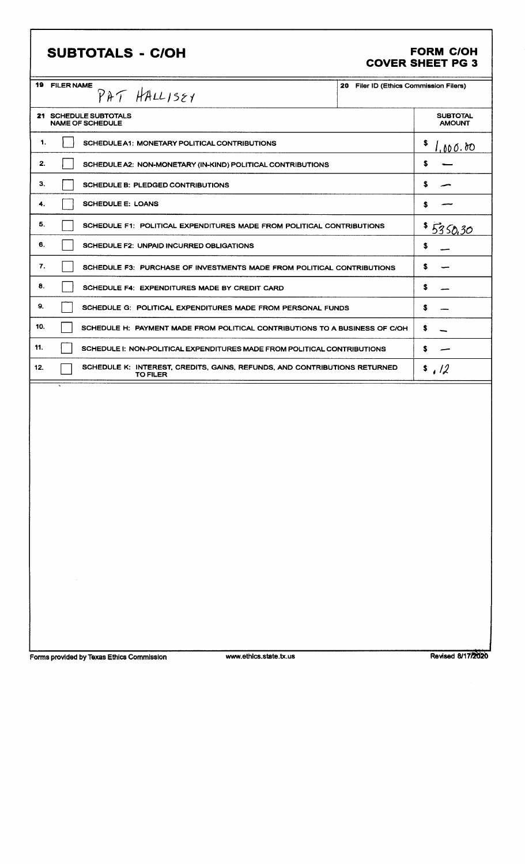# **SUBTOTALS - C/OH**

# FORM C/OH<br>COVER SHEET PG 3

| 1.<br>2.<br>З. | <b>21 SCHEDULE SUBTOTALS</b><br><b>NAME OF SCHEDULE</b><br>SCHEDULE A1: MONETARY POLITICAL CONTRIBUTIONS<br>SCHEDULE A2: NON-MONETARY (IN-KIND) POLITICAL CONTRIBUTIONS | <b>SUBTOTAL</b><br><b>AMOUNT</b><br>s<br>1,000.00 |
|----------------|-------------------------------------------------------------------------------------------------------------------------------------------------------------------------|---------------------------------------------------|
|                |                                                                                                                                                                         |                                                   |
|                |                                                                                                                                                                         |                                                   |
|                |                                                                                                                                                                         | s                                                 |
|                | <b>SCHEDULE B: PLEDGED CONTRIBUTIONS</b>                                                                                                                                | s                                                 |
| 4.             | <b>SCHEDULE E: LOANS</b>                                                                                                                                                | s                                                 |
| 5.             | SCHEDULE F1: POLITICAL EXPENDITURES MADE FROM POLITICAL CONTRIBUTIONS                                                                                                   | 5350.30                                           |
| 6.             | <b>SCHEDULE F2: UNPAID INCURRED OBLIGATIONS</b>                                                                                                                         | s                                                 |
| 7.             | SCHEDULE F3: PURCHASE OF INVESTMENTS MADE FROM POLITICAL CONTRIBUTIONS                                                                                                  | s                                                 |
| 8.             | SCHEDULE F4: EXPENDITURES MADE BY CREDIT CARD                                                                                                                           | s                                                 |
| 9.             | SCHEDULE G: POLITICAL EXPENDITURES MADE FROM PERSONAL FUNDS                                                                                                             | s                                                 |
| 10.            | SCHEDULE H: PAYMENT MADE FROM POLITICAL CONTRIBUTIONS TO A BUSINESS OF C/OH                                                                                             | s                                                 |
| 11.            | SCHEDULE I: NON-POLITICAL EXPENDITURES MADE FROM POLITICAL CONTRIBUTIONS                                                                                                | s                                                 |
| 12.            | SCHEDULE K: INTEREST, CREDITS, GAINS, REFUNDS, AND CONTRIBUTIONS RETURNED<br><b>TO FILER</b>                                                                            | s/2                                               |

Forms provided by Texas Ethics Commission

www.ethics.state.tx.us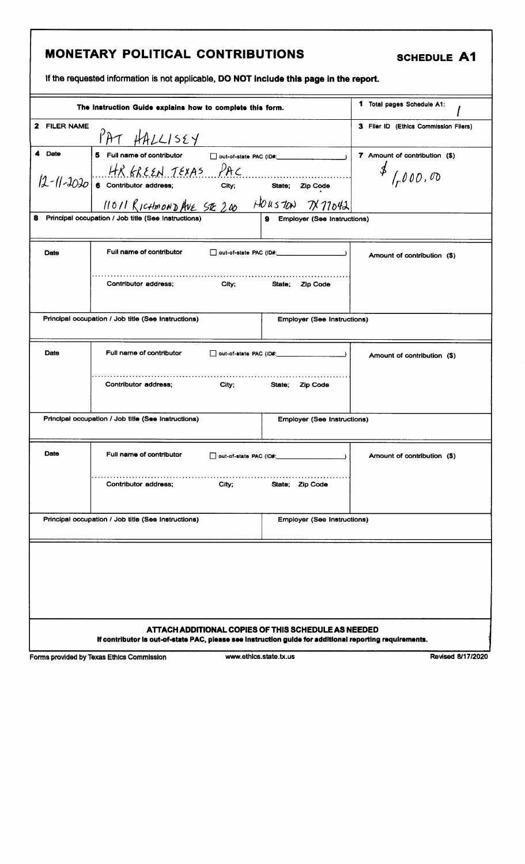# MONETARY POLITICAL CONTRIBUTIONS SCHEDULE A1

If the requested information is not applicable, DO NOT include this page in the report.

|              | The Instruction Guide explains how to complete this form.                                                                                                                                                                                                                     | 1 Total pages Schedule A1:                                                                 |
|--------------|-------------------------------------------------------------------------------------------------------------------------------------------------------------------------------------------------------------------------------------------------------------------------------|--------------------------------------------------------------------------------------------|
| 2 FILER NAME | PAT HALLISEY                                                                                                                                                                                                                                                                  | 3 Filer ID (Ethics Commission Filers)                                                      |
| 4 Date       | 5 Full name of contributor   out-of-state PAC (ID#: ____________________________<br>$12 - 11 - 3030$ 6 Contributor address;<br>$2p \cos \theta$ 6 Contributor address;<br>$11011R$ ICHMONDAVE SE 200 HOUSTON TX77042<br>8 Principal occupation / Job title (See Instructions) | 7 Amount of contribution (\$)<br>$\frac{1}{2}$ / $000.00$<br>9 Employer (See Instructions) |
| Date         | Full name of contributor<br>$\Box$ out-of-state PAC (ID#:<br>Contributor address;<br>City;<br>State;                                                                                                                                                                          | Amount of contribution (\$)<br>Zip Code                                                    |
|              | Principal occupation / Job title (See Instructions)                                                                                                                                                                                                                           | <b>Employer (See Instructions)</b>                                                         |
| Date         | Full name of contributor<br>□ out-of-state PAC (ID#: ____________________)                                                                                                                                                                                                    | Amount of contribution (\$)                                                                |
|              | Contributor address;<br>City;<br>State;                                                                                                                                                                                                                                       | <b>Zip Code</b>                                                                            |
|              | Principal occupation / Job title (See Instructions)                                                                                                                                                                                                                           | <b>Employer (See Instructions)</b>                                                         |
| Date         | Full name of contributor<br>$\Box$ out-of-state PAC (ID#:                                                                                                                                                                                                                     | Amount of contribution (\$)                                                                |
|              | Contributor address;<br>City;<br>State; Zip Code                                                                                                                                                                                                                              |                                                                                            |
|              | Principal occupation / Job title (See Instructions)                                                                                                                                                                                                                           | <b>Employer (See Instructions)</b>                                                         |
|              | ATTACH ADDITIONAL COPIES OF THIS SCHEDULE AS NEEDED                                                                                                                                                                                                                           |                                                                                            |
|              | If contributor is out-of-state PAC, please see instruction guide for additional reporting requirements.                                                                                                                                                                       |                                                                                            |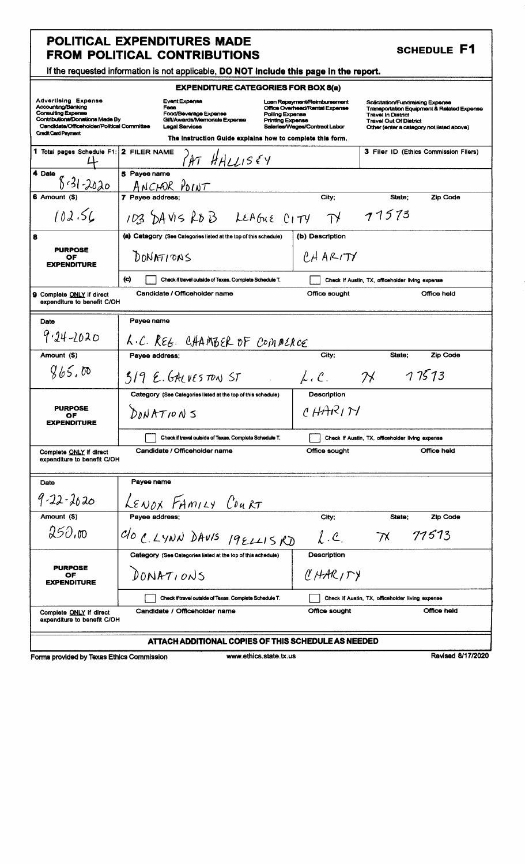| <b>SCHEDULE F1</b> |  |
|--------------------|--|
|--------------------|--|

### If the requested information is not applicable, DO NOT Include this page in the report.

|                      | <b>EXPENDITURE CATEGORIES FOR BOX 8(a)</b> |             |
|----------------------|--------------------------------------------|-------------|
| <b>Event Expense</b> | Loan Repayment/Reimbursement               | Solicitatio |
| Fees                 | Office Overhead/Rental Expense             | Tronennd    |

Credit Card Payment

Fees<br>
Food/Beverage Expense<br>
Gift/Awards/Memorials Expense<br>
Legal Services<br>
Legal Services<br>
Legal Services<br>
Calarles/Wages/Contract Labor

Solicitation/Fundraising Expense<br>Transportation Equipment & Related Expense<br>Travel In District<br>Travel Out Of District<br>Other (enter a category not listed above)

|                                                               | The instruction Guide explains how to complete this form.        |                     |                                                  |
|---------------------------------------------------------------|------------------------------------------------------------------|---------------------|--------------------------------------------------|
| 1 Total pages Schedule F1: 2 FILER NAME                       | $M$ HALLISEY                                                     |                     | 3 Filer ID (Ethics Commission Filers)            |
| 4 Date<br>$8.31 - 2020$                                       | 5 Payee name<br>ANCHOR POINT                                     |                     |                                                  |
| 6 Amount (\$)                                                 | 7 Payee address;                                                 | City;               | State:<br><b>Zip Code</b>                        |
| 102.56                                                        | 103 DAVIS ROB LEAGUE CITY                                        | $\tau$              | 71573                                            |
|                                                               | (a) Category (See Categories listed at the top of this schedule) | (b) Description     |                                                  |
| <b>PURPOSE</b><br>ОF<br><b>EXPENDITURE</b>                    | DONATIONS                                                        | $PA$ ARITY          |                                                  |
|                                                               | (c)<br>Check if travel outside of Texas. Complete Schedule T.    |                     | Check if Austin, TX, officeholder living expense |
| Complete ONLY if direct<br>expenditure to benefit C/OH        | Candidate / Officeholder name                                    | Office sought       | Office held                                      |
| Date                                                          | Payee name                                                       |                     |                                                  |
| $9.24 - 1020$                                                 | L.C. REG. CHAMBER OF COMMERCE                                    |                     |                                                  |
| Amount (\$)                                                   | Payee address:                                                   | City;               | <b>Zip Code</b><br>State;                        |
| 865.00                                                        | $319E.6$ ALVESTONST                                              | $\mu, \mathcal{C}.$ | 77573<br>$\mathcal{H}$                           |
|                                                               | Category (See Categories listed at the top of this schedule)     | Description         |                                                  |
| <b>PURPOSE</b><br>ОF<br><b>EXPENDITURE</b>                    | DNNATIDNS                                                        | 147R                |                                                  |
|                                                               | Check if travel outside of Texas. Complete Schedule T.           |                     | Check If Austin, TX, officeholder living expense |
| Complete <u>ONLY</u> if direct<br>expenditure to benefit C/OH | Candidate / Officeholder name                                    | Office sought       | Office held                                      |
| Date                                                          | Payee name                                                       |                     |                                                  |
| $9 - 22 - 2620$                                               | LENOX FAMILY COURT                                               |                     |                                                  |
| Amount (\$)                                                   | Payee address;                                                   | City:               | State:<br>Zip Code                               |
| 250.00                                                        | C/O C. LYNN DAVIS 19ELLISKD                                      | $l_{\cdot}$ e       | 77513<br>$\gamma$                                |
|                                                               | Category (See Categories listed at the top of this schedule)     | Description         |                                                  |
| <b>PURPOSE</b><br>OF<br><b>EXPENDITURE</b>                    | DONATIONS                                                        | CHARITY             |                                                  |
|                                                               | Check if travel outside of Texas. Complete Schedule T.           |                     | Check if Austin, TX, officeholder living expense |
| Complete ONLY If direct<br>expenditure to benefit C/OH        | Candidate / Officeholder name                                    | Office sought       | Office held                                      |
|                                                               | ATTACH ADDITIONAL COPIES OF THIS SCHEDULE AS NEEDED              |                     |                                                  |

Forms provided by Texas Ethics Commission

www.ethics.state.tx.us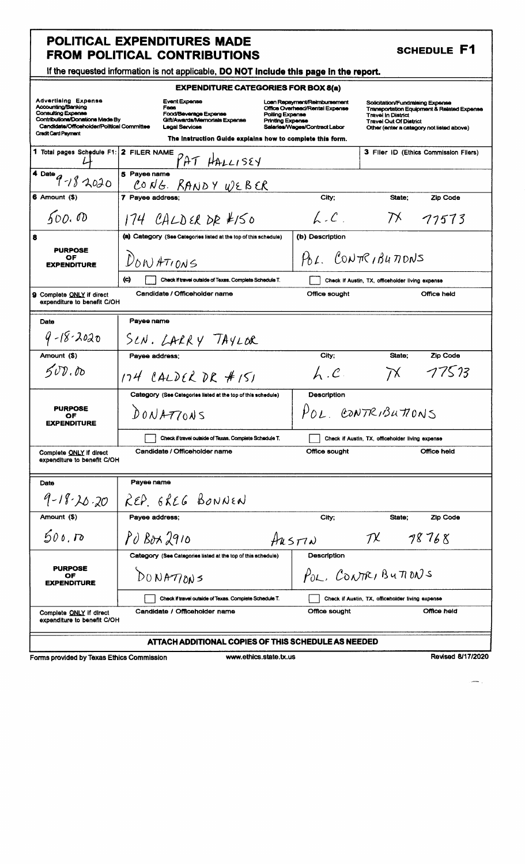| <b>SCHEDULE F1</b> |
|--------------------|
|--------------------|

| If the requested information is not applicable, DO NOT include this page in the report. |  |  |
|-----------------------------------------------------------------------------------------|--|--|
|                                                                                         |  |  |

|                                                                                                                                                                                              | $\alpha$ are requested implifiedly to not applicable, DO NOT interact this pays in the report.                  |                                                                                                                                               |                                                                                                                                                                                                      |
|----------------------------------------------------------------------------------------------------------------------------------------------------------------------------------------------|-----------------------------------------------------------------------------------------------------------------|-----------------------------------------------------------------------------------------------------------------------------------------------|------------------------------------------------------------------------------------------------------------------------------------------------------------------------------------------------------|
|                                                                                                                                                                                              | <b>EXPENDITURE CATEGORIES FOR BOX 8(a)</b>                                                                      |                                                                                                                                               |                                                                                                                                                                                                      |
| <b>Advertising Expense</b><br>Accounting/Banking<br><b>Consulting Expense</b><br>Contributions/Donations Made By<br>Candidate/Officeholder/Political Committee<br><b>Credit Card Payment</b> | <b>Event Expense</b><br>Fees<br>Food/Beverage Expense<br>Gift/Awards/Memorials Expense<br><b>Legal Services</b> | Loan Repayment/Reimbursement<br>Office Overhead/Rental Expense<br>Polling Expense<br><b>Printing Expense</b><br>Salaries/Wages/Contract Labor | Solicitation/Fundraising Expense<br><b>Transportation Equipment &amp; Related Expense</b><br><b>Travel In District</b><br><b>Travel Out Of District</b><br>Other (enter a category not listed above) |
|                                                                                                                                                                                              | The instruction Guide explains how to complete this form.                                                       |                                                                                                                                               |                                                                                                                                                                                                      |
| 1 Total pages Schedule F1: 2 FILER NAME                                                                                                                                                      | PAT HALLISEY                                                                                                    |                                                                                                                                               | 3 Filer ID (Ethics Commission Filers)                                                                                                                                                                |
| 4 Date<br>$9 - 182020$                                                                                                                                                                       | 5 Payee name<br>CONG. RANDY WEBER                                                                               |                                                                                                                                               |                                                                                                                                                                                                      |
| 6 Amount (\$)                                                                                                                                                                                | 7 Payee address;                                                                                                | City;                                                                                                                                         | State:<br>Zip Code                                                                                                                                                                                   |
| 600.00                                                                                                                                                                                       | $174$ CALDER DR #150                                                                                            | $\mathcal{L}$ . $\mathcal{C}$ .                                                                                                               | $\mathcal{D}^{\mathcal{K}}$<br>77573                                                                                                                                                                 |
| 8                                                                                                                                                                                            | (a) Category (See Categories listed at the top of this schedule)                                                | (b) Description                                                                                                                               |                                                                                                                                                                                                      |
| <b>PURPOSE</b><br>OF<br><b>EXPENDITURE</b>                                                                                                                                                   | $D_{\delta N}$ ATIONS                                                                                           |                                                                                                                                               | $P_{0}L$ , CONTRIBUTIONS                                                                                                                                                                             |
|                                                                                                                                                                                              | $\langle c \rangle$<br>Check if travel outside of Texas. Complete Schedule T.                                   |                                                                                                                                               | Check if Austin, TX, officeholder living expense                                                                                                                                                     |
| <b>9</b> Complete ONLY if direct<br>expenditure to benefit C/OH                                                                                                                              | Candidate / Officeholder name                                                                                   | Office sought                                                                                                                                 | Office held                                                                                                                                                                                          |
| Date                                                                                                                                                                                         | Payee name                                                                                                      |                                                                                                                                               |                                                                                                                                                                                                      |
| $9 - 18 - 2020$                                                                                                                                                                              | SCN. LARRY TAYLOR                                                                                               |                                                                                                                                               |                                                                                                                                                                                                      |
| Amount (\$)                                                                                                                                                                                  | Payee address;                                                                                                  | City;                                                                                                                                         | State:<br>Zip Code                                                                                                                                                                                   |
| 500.00                                                                                                                                                                                       | $174$ CALDER DR #151                                                                                            | $L_{\cdot}$ . $C_{\cdot}$                                                                                                                     | T7573<br>$\overline{\wedge}$                                                                                                                                                                         |
|                                                                                                                                                                                              | Category (See Categories listed at the top of this schedule)                                                    | Description                                                                                                                                   |                                                                                                                                                                                                      |
| <b>PURPOSE</b><br>OF<br><b>EXPENDITURE</b>                                                                                                                                                   | DONATTOAS                                                                                                       |                                                                                                                                               | POL CONTRIBUTIONS                                                                                                                                                                                    |
|                                                                                                                                                                                              | Check if travel outside of Texas, Complete Schedule T.                                                          |                                                                                                                                               | Check if Austin, TX, officeholder living expense                                                                                                                                                     |
| Complete ONLY If direct<br>expenditure to benefit C/OH                                                                                                                                       | Candidate / Officeholder name                                                                                   | Office sought                                                                                                                                 | Office held                                                                                                                                                                                          |
| Date                                                                                                                                                                                         | Payee name                                                                                                      |                                                                                                                                               |                                                                                                                                                                                                      |
| $9 - 18 - 20$ -20                                                                                                                                                                            | REP. EREG BONNEN                                                                                                |                                                                                                                                               |                                                                                                                                                                                                      |
| Amount (\$)                                                                                                                                                                                  | Payee address;                                                                                                  | City;                                                                                                                                         | <b>Zip Code</b><br>State;                                                                                                                                                                            |
| 500, D                                                                                                                                                                                       | $PO$ $B$ ox $2910$                                                                                              | $H$ us $T$ N                                                                                                                                  | $\mathcal{D}$<br>78768                                                                                                                                                                               |
|                                                                                                                                                                                              | Category (See Categories listed at the top of this schedule)                                                    | Description                                                                                                                                   |                                                                                                                                                                                                      |
| <b>PURPOSE</b><br>OF<br><b>EXPENDITURE</b>                                                                                                                                                   | DONATJONS                                                                                                       |                                                                                                                                               | POL, CONTRIBUTIONS                                                                                                                                                                                   |
|                                                                                                                                                                                              | Check if travel outside of Texas. Complete Schedule T.                                                          |                                                                                                                                               | Check if Austin, TX, officeholder living expense                                                                                                                                                     |
| Complete ONLY if direct<br>expenditure to benefit C/OH                                                                                                                                       | Candidate / Officeholder name                                                                                   | Office sought                                                                                                                                 | Office held                                                                                                                                                                                          |
|                                                                                                                                                                                              | ATTACH ADDITIONAL COPIES OF THIS SCHEDULE AS NEEDED                                                             |                                                                                                                                               |                                                                                                                                                                                                      |

Forms provided by Texas Ethics Commission

www.ethics.state.tx.us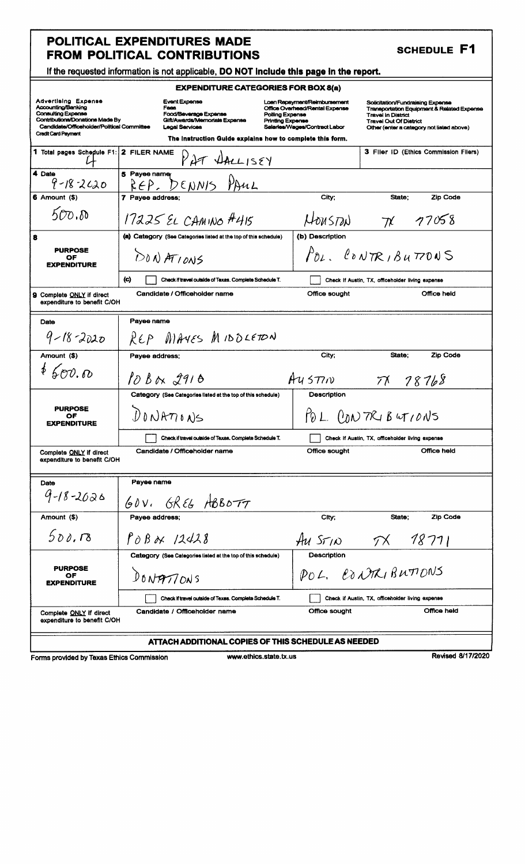| <b>SCHEDULE F1</b> |  |
|--------------------|--|
|--------------------|--|

| If the requested information is not applicable, DO NOT include this page in the report. |
|-----------------------------------------------------------------------------------------|
|-----------------------------------------------------------------------------------------|

| <b>EXPENDITURE CATEGORIES FOR BOX 8(a)</b>                                                                                                                                                   |                                                                                                                 |                                                                                                                                        |                                                                                                                                                                                                      |  |
|----------------------------------------------------------------------------------------------------------------------------------------------------------------------------------------------|-----------------------------------------------------------------------------------------------------------------|----------------------------------------------------------------------------------------------------------------------------------------|------------------------------------------------------------------------------------------------------------------------------------------------------------------------------------------------------|--|
| <b>Advertising Expense</b><br>Accounting/Banking<br><b>Consulting Expense</b><br>Contributions/Donations Made By<br>Candidate/Officeholder/Political Committee<br><b>Credit Card Payment</b> | <b>Event Expense</b><br>Fees<br>Food/Beverage Expense<br>Gift/Awards/Memorials Expense<br><b>Legal Services</b> | Loan Repayment/Reimbursement<br>Office Overhead/Rental Expense<br>Polling Expense<br>Printing Expense<br>Salaries/Wages/Contract Labor | Solicitation/Fundraising Expense<br><b>Transportation Equipment &amp; Related Expense</b><br><b>Travel in District</b><br><b>Travel Out Of District</b><br>Other (enter a category not listed above) |  |
|                                                                                                                                                                                              | The instruction Guide explains how to complete this form.                                                       |                                                                                                                                        |                                                                                                                                                                                                      |  |
| 1 Total pages Schedule F1:                                                                                                                                                                   | 2 FILER NAME<br>PAT DALLISEY                                                                                    |                                                                                                                                        | 3 Filer ID (Ethics Commission Filers)                                                                                                                                                                |  |
| 4 Date<br>$9 - 18 - 2620$                                                                                                                                                                    | 5 Payee namer<br>REP. DENNIS PAUL                                                                               |                                                                                                                                        |                                                                                                                                                                                                      |  |
| 6 Amount (\$)                                                                                                                                                                                | 7 Payee address;                                                                                                | City;                                                                                                                                  | <b>Zip Code</b><br>State;                                                                                                                                                                            |  |
| 500.0                                                                                                                                                                                        | 17225 EL CAMINO #415                                                                                            | HOUSTON                                                                                                                                | 71 77058                                                                                                                                                                                             |  |
| 8                                                                                                                                                                                            | (a) Category (See Categories listed at the top of this schedule)                                                | (b) Description                                                                                                                        |                                                                                                                                                                                                      |  |
| <b>PURPOSE</b><br>OF<br><b>EXPENDITURE</b>                                                                                                                                                   | D0NATIONS                                                                                                       |                                                                                                                                        | $P_{DL}$ , CONTRIBUTTONS                                                                                                                                                                             |  |
|                                                                                                                                                                                              | (C)<br>Check if travel outside of Texas. Complete Schedule T.                                                   |                                                                                                                                        | Check If Austin, TX, officeholder living expense                                                                                                                                                     |  |
| <b>9</b> Complete ONLY if direct<br>expenditure to benefit C/OH                                                                                                                              | Candidate / Officeholder name                                                                                   | Office sought                                                                                                                          | Office held                                                                                                                                                                                          |  |
| Date                                                                                                                                                                                         | Payee name                                                                                                      |                                                                                                                                        |                                                                                                                                                                                                      |  |
| $9 - 18 - 2020$                                                                                                                                                                              | REP MAYES MIDDLETON                                                                                             |                                                                                                                                        |                                                                                                                                                                                                      |  |
| Amount (\$)                                                                                                                                                                                  | Payee address:                                                                                                  | City;                                                                                                                                  | Zip Code<br>State:                                                                                                                                                                                   |  |
| $*$ 500.00                                                                                                                                                                                   | $10B$ <sub>N</sub> $2916$                                                                                       | Au577n                                                                                                                                 | 71 78768                                                                                                                                                                                             |  |
| Description<br>Category (See Categories listed at the top of this schedule)                                                                                                                  |                                                                                                                 |                                                                                                                                        |                                                                                                                                                                                                      |  |
| <b>PURPOSE</b><br>OF<br><b>EXPENDITURE</b>                                                                                                                                                   | $D$ $NRT$ $N$                                                                                                   |                                                                                                                                        | POL PONTRIBUTIONS                                                                                                                                                                                    |  |
|                                                                                                                                                                                              | Check if travel outside of Texas, Complete Schedule T.                                                          |                                                                                                                                        | Check if Austin, TX, officeholder living expense                                                                                                                                                     |  |
| Complete ONLY if direct<br>expenditure to benefit C/OH                                                                                                                                       | Candidate / Officeholder name                                                                                   | Office sought                                                                                                                          | Office held                                                                                                                                                                                          |  |
| Date                                                                                                                                                                                         | Payee name                                                                                                      |                                                                                                                                        |                                                                                                                                                                                                      |  |
| $9 - 18 - 2020$                                                                                                                                                                              | $GRE6$ ABBOTT<br>40V <sub>1</sub>                                                                               |                                                                                                                                        |                                                                                                                                                                                                      |  |
| Amount (\$)                                                                                                                                                                                  | Payee address;                                                                                                  | City;                                                                                                                                  | State:<br>Zip Code                                                                                                                                                                                   |  |
| 500.78                                                                                                                                                                                       | $P$ OBAX 12428                                                                                                  | AU $55/10$                                                                                                                             | 18711<br>$\mathcal{T}^{\chi}$                                                                                                                                                                        |  |
|                                                                                                                                                                                              | Category (See Categories listed at the top of this schedule)                                                    | Description                                                                                                                            |                                                                                                                                                                                                      |  |
| <b>PURPOSE</b><br>OF<br><b><i>EXPENDITURE</i></b>                                                                                                                                            | DONATIONS                                                                                                       | POL. CONTRIBUTIONS                                                                                                                     |                                                                                                                                                                                                      |  |
|                                                                                                                                                                                              | Check if travel outside of Texas. Complete Schedule T.                                                          |                                                                                                                                        | Check if Austin, TX, officeholder living expense                                                                                                                                                     |  |
| Complete ONLY if direct<br>expenditure to benefit C/OH                                                                                                                                       | Candidate / Officeholder name                                                                                   | Office sought                                                                                                                          | Office held                                                                                                                                                                                          |  |
| ATTACH ADDITIONAL COPIES OF THIS SCHEDULE AS NEEDED                                                                                                                                          |                                                                                                                 |                                                                                                                                        |                                                                                                                                                                                                      |  |

Forms provided by Texas Ethics Commission

www.ethics.state.tx.us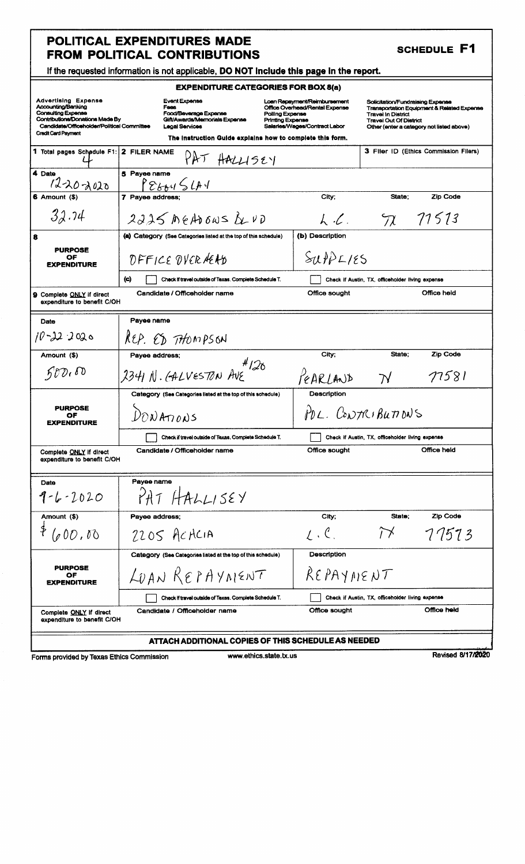| <b>SCHEDULE F1</b> |  |  |
|--------------------|--|--|
|--------------------|--|--|

|  | If the requested information is not applicable, DO NOT include this page in the report. |  |  |  |
|--|-----------------------------------------------------------------------------------------|--|--|--|
|--|-----------------------------------------------------------------------------------------|--|--|--|

| $\pi$ in the requested information is not applicable, DO NOT include this page in the report.                                                                  |                                                                                                          |                                                                                                                                        |                                                                                                |                                                                                                    |  |
|----------------------------------------------------------------------------------------------------------------------------------------------------------------|----------------------------------------------------------------------------------------------------------|----------------------------------------------------------------------------------------------------------------------------------------|------------------------------------------------------------------------------------------------|----------------------------------------------------------------------------------------------------|--|
| <b>EXPENDITURE CATEGORIES FOR BOX 8(a)</b>                                                                                                                     |                                                                                                          |                                                                                                                                        |                                                                                                |                                                                                                    |  |
| <b>Advertising Expense</b><br>Accounting/Banking<br><b>Consulting Expense</b><br>Contributions/Donations Made By<br>Candidate/Officeholder/Political Committee | Event Expense<br>Fees<br>Food/Beverage Expense<br>Gift/Awards/Memorials Expense<br><b>Legal Services</b> | Loan Repayment/Reimbursement<br>Office Overhead/Rental Expense<br>Polling Expense<br>Printina Expense<br>Salaries/Wages/Contract Labor | Solicitation/Fundraising Expense<br><b>Travel In District</b><br><b>Travel Out Of District</b> | <b>Transportation Equipment &amp; Related Expense</b><br>Other (enter a category not listed above) |  |
| <b>Credit Card Payment</b>                                                                                                                                     | The instruction Guide explains how to complete this form.                                                |                                                                                                                                        |                                                                                                |                                                                                                    |  |
| 1 Total pages Schedule F1: 2 FILER NAME                                                                                                                        | $PAT$ HALLISEY                                                                                           |                                                                                                                                        |                                                                                                | 3 Filer ID (Ethics Commission Filers)                                                              |  |
| 4 Date<br>$1220 - 2020$                                                                                                                                        | 5 Payee name<br>32444                                                                                    |                                                                                                                                        |                                                                                                |                                                                                                    |  |
| 6 Amount (\$                                                                                                                                                   | 7 Payee address;                                                                                         | City:                                                                                                                                  | State;                                                                                         | Zip Code                                                                                           |  |
| 32.74                                                                                                                                                          | $2225$ MEADOWS $UVD$                                                                                     | $\lambda$ . $\ell$ .                                                                                                                   |                                                                                                | 72, 71513                                                                                          |  |
| 8                                                                                                                                                              | (a) Category (See Categories listed at the top of this schedule)                                         | (b) Description                                                                                                                        |                                                                                                |                                                                                                    |  |
| <b>PURPOSE</b><br>OF<br><b>EXPENDITURE</b>                                                                                                                     | DFFICE DVER HEAD                                                                                         | $S(\mu)$ PLIES                                                                                                                         |                                                                                                |                                                                                                    |  |
|                                                                                                                                                                | (c)<br>Check if travel outside of Texas. Complete Schedule T.                                            |                                                                                                                                        | Check if Austin, TX, officeholder living expense                                               |                                                                                                    |  |
| 9 Complete ONLY if direct<br>expenditure to benefit C/OH                                                                                                       | Candidate / Officeholder name                                                                            | Office sought                                                                                                                          |                                                                                                | Office held                                                                                        |  |
| Date                                                                                                                                                           | Payee name                                                                                               |                                                                                                                                        |                                                                                                |                                                                                                    |  |
| $10 - 22 - 2020$                                                                                                                                               | REP. ED THOMPSON                                                                                         |                                                                                                                                        |                                                                                                |                                                                                                    |  |
| Amount (\$)                                                                                                                                                    | Payee address;                                                                                           | City;                                                                                                                                  | State;                                                                                         | Zip Code                                                                                           |  |
| 500.00                                                                                                                                                         | #126<br>2341 N. GALVESTON AVE                                                                            | PEARLAND                                                                                                                               | $\boldsymbol{\gamma}$                                                                          | 77581                                                                                              |  |
|                                                                                                                                                                | Category (See Categories listed at the top of this schedule)                                             | Description                                                                                                                            |                                                                                                |                                                                                                    |  |
| <b>PURPOSE</b><br>ОF<br><b>EXPENDITURE</b>                                                                                                                     | POL. CONTRIBUTIONS<br>$D_{\text{ON}}$ A $_{\text{TON}}$ s                                                |                                                                                                                                        |                                                                                                |                                                                                                    |  |
|                                                                                                                                                                | Check if travel outside of Texas, Complete Schedule T.                                                   |                                                                                                                                        | Check if Austin, TX, officeholder living expense                                               |                                                                                                    |  |
| Complete ONLY if direct<br>expenditure to benefit C/OH                                                                                                         | Candidate / Officeholder name                                                                            | Office sought                                                                                                                          |                                                                                                | Office held                                                                                        |  |
| Date                                                                                                                                                           | Payee name                                                                                               |                                                                                                                                        |                                                                                                |                                                                                                    |  |
| $9 - 6 - 2020$                                                                                                                                                 | PATHAALISEY                                                                                              |                                                                                                                                        |                                                                                                |                                                                                                    |  |
| Amount (\$)                                                                                                                                                    | Payee address;                                                                                           | City;                                                                                                                                  | State;                                                                                         | <b>Zip Code</b>                                                                                    |  |
| (000, 00)                                                                                                                                                      | $2205$ ACACIA                                                                                            | $1.6$ .                                                                                                                                | $\widetilde{\Gamma}$                                                                           | 77573                                                                                              |  |
|                                                                                                                                                                | Category (See Categories listed at the top of this schedule)                                             | <b>Description</b>                                                                                                                     |                                                                                                |                                                                                                    |  |
| <b>PURPOSE</b><br>OF<br><b>EXPENDITURE</b>                                                                                                                     | LOAN REPAYMENT                                                                                           |                                                                                                                                        | REPAYMENT                                                                                      |                                                                                                    |  |
|                                                                                                                                                                | Check if travel outside of Texas. Complete Schedule T.                                                   |                                                                                                                                        | Check if Austin, TX, officeholder living expense                                               |                                                                                                    |  |
| Complete ONLY If direct<br>expenditure to benefit C/OH                                                                                                         | Candidate / Officeholder name                                                                            | Office sought                                                                                                                          |                                                                                                | Office held                                                                                        |  |
| ATTACH ADDITIONAL COPIES OF THIS SCHEDULE AS NEEDED                                                                                                            |                                                                                                          |                                                                                                                                        |                                                                                                |                                                                                                    |  |

Forms provided by Texas Ethics Commission

www.ethics.state.tx.us